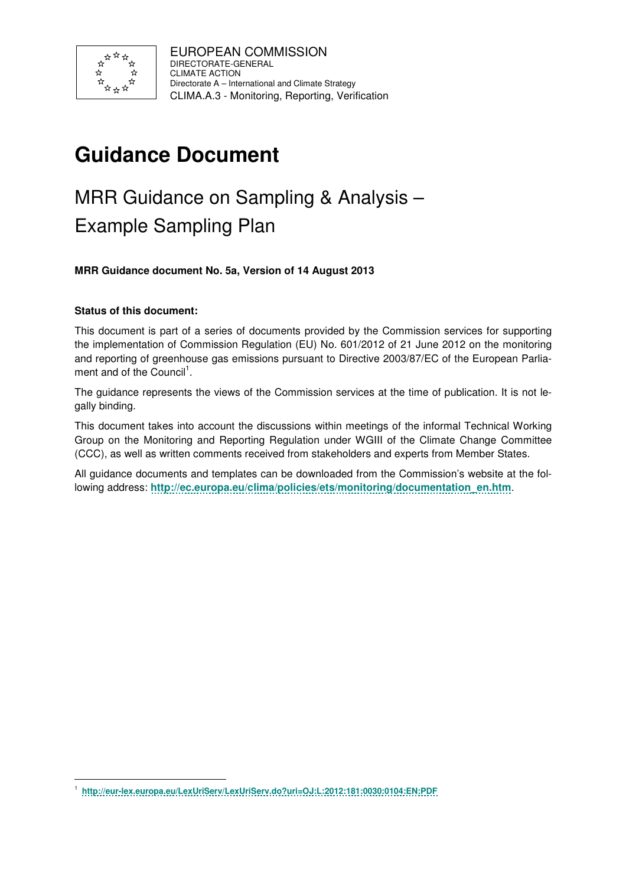

# **Guidance Document**

# MRR Guidance on Sampling & Analysis – Example Sampling Plan

**MRR Guidance document No. 5a, Version of 14 August 2013** 

### **Status of this document:**

-

This document is part of a series of documents provided by the Commission services for supporting the implementation of Commission Regulation (EU) No. 601/2012 of 21 June 2012 on the monitoring and reporting of greenhouse gas emissions pursuant to Directive 2003/87/EC of the European Parliament and of the Council<sup>1</sup>.

The guidance represents the views of the Commission services at the time of publication. It is not legally binding.

This document takes into account the discussions within meetings of the informal Technical Working Group on the Monitoring and Reporting Regulation under WGIII of the Climate Change Committee (CCC), as well as written comments received from stakeholders and experts from Member States.

All guidance documents and templates can be downloaded from the Commission's website at the following address: **http://ec.europa.eu/clima/policies/ets/monitoring/documentation\_en.htm**.

<sup>1</sup> **http://eur-lex.europa.eu/LexUriServ/LexUriServ.do?uri=OJ:L:2012:181:0030:0104:EN:PDF**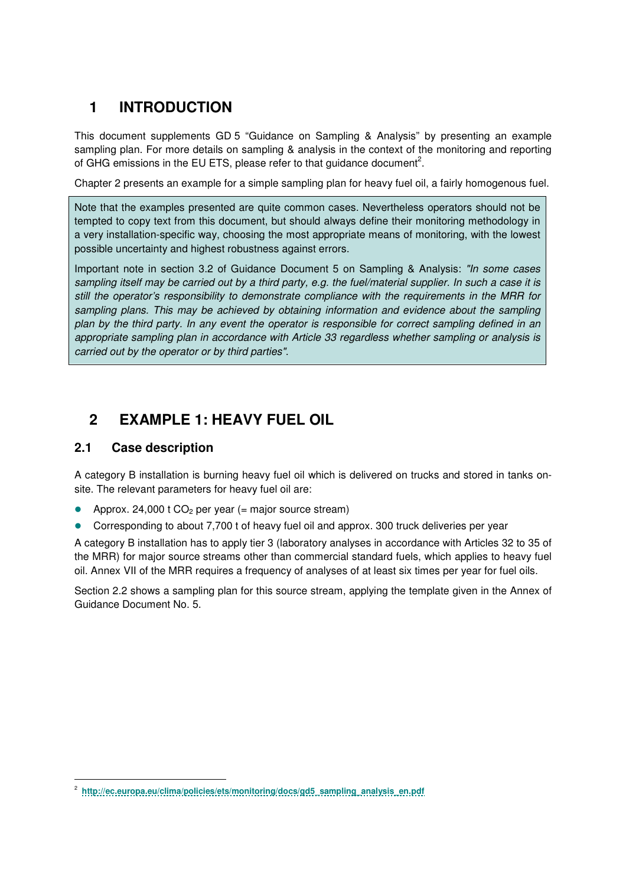# **1 INTRODUCTION**

This document supplements GD 5 "Guidance on Sampling & Analysis" by presenting an example sampling plan. For more details on sampling & analysis in the context of the monitoring and reporting of GHG emissions in the EU ETS, please refer to that guidance document<sup>2</sup>.

Chapter 2 presents an example for a simple sampling plan for heavy fuel oil, a fairly homogenous fuel.

Note that the examples presented are quite common cases. Nevertheless operators should not be tempted to copy text from this document, but should always define their monitoring methodology in a very installation-specific way, choosing the most appropriate means of monitoring, with the lowest possible uncertainty and highest robustness against errors.

Important note in section 3.2 of Guidance Document 5 on Sampling & Analysis: "In some cases sampling itself may be carried out by a third party, e.g. the fuel/material supplier. In such a case it is still the operator's responsibility to demonstrate compliance with the requirements in the MRR for sampling plans. This may be achieved by obtaining information and evidence about the sampling plan by the third party. In any event the operator is responsible for correct sampling defined in an appropriate sampling plan in accordance with Article 33 regardless whether sampling or analysis is carried out by the operator or by third parties".

## **2 EXAMPLE 1: HEAVY FUEL OIL**

### **2.1 Case description**

-

A category B installation is burning heavy fuel oil which is delivered on trucks and stored in tanks onsite. The relevant parameters for heavy fuel oil are:

- Approx. 24,000  $t CO<sub>2</sub>$  per year (= major source stream)
- Corresponding to about 7,700 t of heavy fuel oil and approx. 300 truck deliveries per year

A category B installation has to apply tier 3 (laboratory analyses in accordance with Articles 32 to 35 of the MRR) for major source streams other than commercial standard fuels, which applies to heavy fuel oil. Annex VII of the MRR requires a frequency of analyses of at least six times per year for fuel oils.

Section 2.2 shows a sampling plan for this source stream, applying the template given in the Annex of Guidance Document No. 5.

<sup>&</sup>lt;sup>2</sup> http://ec.europa.eu/clima/policies/ets/monitoring/docs/gd5\_sampling\_analysis\_en.pdf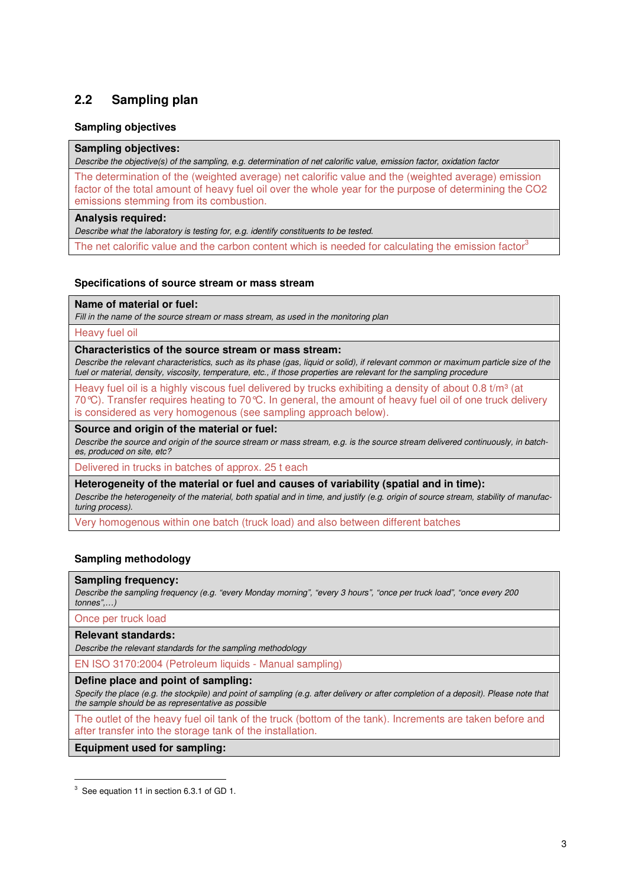## **2.2 Sampling plan**

#### **Sampling objectives**

#### **Sampling objectives:**

Describe the objective(s) of the sampling, e.g. determination of net calorific value, emission factor, oxidation factor

The determination of the (weighted average) net calorific value and the (weighted average) emission factor of the total amount of heavy fuel oil over the whole year for the purpose of determining the CO2 emissions stemming from its combustion.

#### **Analysis required:**

Describe what the laboratory is testing for, e.g. identify constituents to be tested.

The net calorific value and the carbon content which is needed for calculating the emission factor<sup>3</sup>

#### **Specifications of source stream or mass stream**

#### **Name of material or fuel:**

Fill in the name of the source stream or mass stream, as used in the monitoring plan

Heavy fuel oil

#### **Characteristics of the source stream or mass stream:**

Describe the relevant characteristics, such as its phase (gas, liquid or solid), if relevant common or maximum particle size of the fuel or material, density, viscosity, temperature, etc., if those properties are relevant for the sampling procedure

Heavy fuel oil is a highly viscous fuel delivered by trucks exhibiting a density of about 0.8  $t/m<sup>3</sup>$  (at 70°C). Transfer requires heating to 70°C. In general, the amount of heavy fuel oil of one truck delivery is considered as very homogenous (see sampling approach below).

#### **Source and origin of the material or fuel:**

Describe the source and origin of the source stream or mass stream, e.g. is the source stream delivered continuously, in batches, produced on site, etc?

Delivered in trucks in batches of approx. 25 t each

**Heterogeneity of the material or fuel and causes of variability (spatial and in time):**  Describe the heterogeneity of the material, both spatial and in time, and justify (e.g. origin of source stream, stability of manufacturing process).

Very homogenous within one batch (truck load) and also between different batches

#### **Sampling methodology**

#### **Sampling frequency:**

Describe the sampling frequency (e.g. "every Monday morning", "every 3 hours", "once per truck load", "once every 200 tonnes",…)

Once per truck load

-

#### **Relevant standards:**

Describe the relevant standards for the sampling methodology

EN ISO 3170:2004 (Petroleum liquids - Manual sampling)

#### **Define place and point of sampling:**

Specify the place (e.g. the stockpile) and point of sampling (e.g. after delivery or after completion of a deposit). Please note that the sample should be as representative as possible

The outlet of the heavy fuel oil tank of the truck (bottom of the tank). Increments are taken before and after transfer into the storage tank of the installation.

**Equipment used for sampling:** 

 $3$  See equation 11 in section 6.3.1 of GD 1.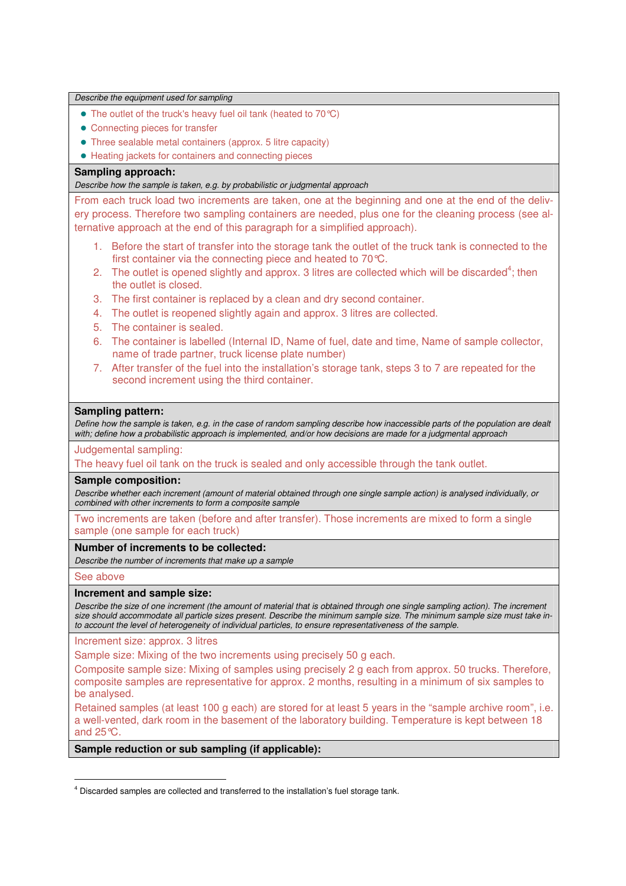| Describe the equipment used for sampling                                                                                                                                                                                                                                                                                                                                                                  |
|-----------------------------------------------------------------------------------------------------------------------------------------------------------------------------------------------------------------------------------------------------------------------------------------------------------------------------------------------------------------------------------------------------------|
| • The outlet of the truck's heavy fuel oil tank (heated to 70 °C)                                                                                                                                                                                                                                                                                                                                         |
| • Connecting pieces for transfer                                                                                                                                                                                                                                                                                                                                                                          |
| • Three sealable metal containers (approx. 5 litre capacity)                                                                                                                                                                                                                                                                                                                                              |
| • Heating jackets for containers and connecting pieces                                                                                                                                                                                                                                                                                                                                                    |
| Sampling approach:                                                                                                                                                                                                                                                                                                                                                                                        |
| Describe how the sample is taken, e.g. by probabilistic or judgmental approach                                                                                                                                                                                                                                                                                                                            |
| From each truck load two increments are taken, one at the beginning and one at the end of the deliv-<br>ery process. Therefore two sampling containers are needed, plus one for the cleaning process (see al-<br>ternative approach at the end of this paragraph for a simplified approach).                                                                                                              |
| Before the start of transfer into the storage tank the outlet of the truck tank is connected to the<br>1.<br>first container via the connecting piece and heated to 70 °C.                                                                                                                                                                                                                                |
| The outlet is opened slightly and approx. 3 litres are collected which will be discarded <sup>4</sup> ; then<br>2.<br>the outlet is closed.                                                                                                                                                                                                                                                               |
| The first container is replaced by a clean and dry second container.<br>З.                                                                                                                                                                                                                                                                                                                                |
| The outlet is reopened slightly again and approx. 3 litres are collected.<br>4.                                                                                                                                                                                                                                                                                                                           |
| The container is sealed.<br>5.                                                                                                                                                                                                                                                                                                                                                                            |
| The container is labelled (Internal ID, Name of fuel, date and time, Name of sample collector,<br>6.<br>name of trade partner, truck license plate number)                                                                                                                                                                                                                                                |
| 7. After transfer of the fuel into the installation's storage tank, steps 3 to 7 are repeated for the<br>second increment using the third container.                                                                                                                                                                                                                                                      |
| Define how the sample is taken, e.g. in the case of random sampling describe how inaccessible parts of the population are dealt<br>with; define how a probabilistic approach is implemented, and/or how decisions are made for a judgmental approach<br>Judgemental sampling:                                                                                                                             |
| The heavy fuel oil tank on the truck is sealed and only accessible through the tank outlet.                                                                                                                                                                                                                                                                                                               |
| <b>Sample composition:</b><br>Describe whether each increment (amount of material obtained through one single sample action) is analysed individually, or<br>combined with other increments to form a composite sample                                                                                                                                                                                    |
| Two increments are taken (before and after transfer). Those increments are mixed to form a single<br>sample (one sample for each truck)                                                                                                                                                                                                                                                                   |
| Number of increments to be collected:                                                                                                                                                                                                                                                                                                                                                                     |
| Describe the number of increments that make up a sample                                                                                                                                                                                                                                                                                                                                                   |
| See above                                                                                                                                                                                                                                                                                                                                                                                                 |
| Increment and sample size:<br>Describe the size of one increment (the amount of material that is obtained through one single sampling action). The increment<br>size should accommodate all particle sizes present. Describe the minimum sample size. The minimum sample size must take in-<br>to account the level of heterogeneity of individual particles, to ensure representativeness of the sample. |
| Increment size: approx. 3 litres                                                                                                                                                                                                                                                                                                                                                                          |
| Sample size: Mixing of the two increments using precisely 50 g each.                                                                                                                                                                                                                                                                                                                                      |
| Composite sample size: Mixing of samples using precisely 2 g each from approx. 50 trucks. Therefore,<br>composite samples are representative for approx. 2 months, resulting in a minimum of six samples to<br>be analysed.                                                                                                                                                                               |
| Retained samples (at least 100 g each) are stored for at least 5 years in the "sample archive room", i.e.<br>a well-vented, dark room in the basement of the laboratory building. Temperature is kept between 18<br>and 25°C.                                                                                                                                                                             |
| Sample reduction or sub sampling (if applicable):                                                                                                                                                                                                                                                                                                                                                         |

 4 Discarded samples are collected and transferred to the installation's fuel storage tank.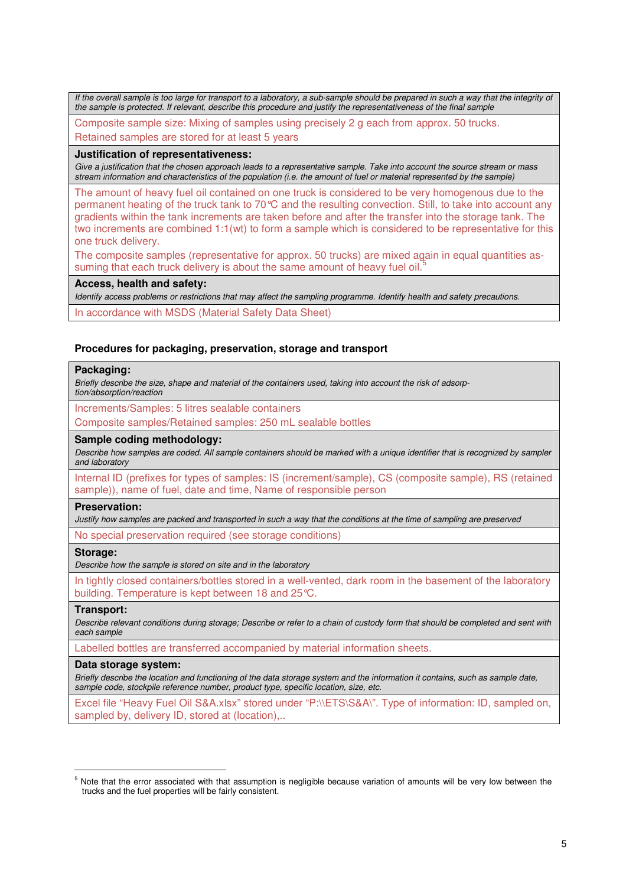If the overall sample is too large for transport to a laboratory, a sub-sample should be prepared in such a way that the integrity of the sample is protected. If relevant, describe this procedure and justify the representativeness of the final sample

Composite sample size: Mixing of samples using precisely 2 g each from approx. 50 trucks. Retained samples are stored for at least 5 years

#### **Justification of representativeness:**

Give a justification that the chosen approach leads to a representative sample. Take into account the source stream or mass stream information and characteristics of the population (i.e. the amount of fuel or material represented by the sample)

The amount of heavy fuel oil contained on one truck is considered to be very homogenous due to the permanent heating of the truck tank to 70°C and the resulting convection. Still, to take into account any gradients within the tank increments are taken before and after the transfer into the storage tank. The two increments are combined 1:1(wt) to form a sample which is considered to be representative for this one truck delivery.

The composite samples (representative for approx. 50 trucks) are mixed again in equal quantities assuming that each truck delivery is about the same amount of heavy fuel oil.<sup>5</sup>

#### **Access, health and safety:**

Identify access problems or restrictions that may affect the sampling programme. Identify health and safety precautions.

In accordance with MSDS (Material Safety Data Sheet)

#### **Procedures for packaging, preservation, storage and transport**

#### **Packaging:**

Briefly describe the size, shape and material of the containers used, taking into account the risk of adsorption/absorption/reaction

Increments/Samples: 5 litres sealable containers

Composite samples/Retained samples: 250 mL sealable bottles

#### **Sample coding methodology:**

Describe how samples are coded. All sample containers should be marked with a unique identifier that is recognized by sampler and laboratory

Internal ID (prefixes for types of samples: IS (increment/sample), CS (composite sample), RS (retained sample)), name of fuel, date and time, Name of responsible person

#### **Preservation:**

Justify how samples are packed and transported in such a way that the conditions at the time of sampling are preserved

No special preservation required (see storage conditions)

#### **Storage:**

Describe how the sample is stored on site and in the laboratory

In tightly closed containers/bottles stored in a well-vented, dark room in the basement of the laboratory building. Temperature is kept between 18 and 25°C.

#### **Transport:**

l

Describe relevant conditions during storage; Describe or refer to a chain of custody form that should be completed and sent with each sample

Labelled bottles are transferred accompanied by material information sheets.

#### **Data storage system:**

Briefly describe the location and functioning of the data storage system and the information it contains, such as sample date, sample code, stockpile reference number, product type, specific location, size, etc.

Excel file "Heavy Fuel Oil S&A.xlsx" stored under "P:\\ETS\S&A\". Type of information: ID, sampled on, sampled by, delivery ID, stored at (location)...

<sup>5</sup> Note that the error associated with that assumption is negligible because variation of amounts will be very low between the trucks and the fuel properties will be fairly consistent.